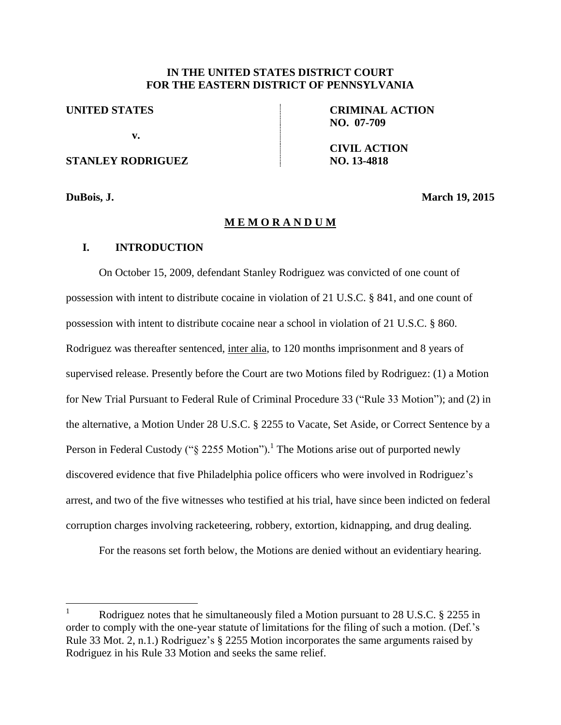## **IN THE UNITED STATES DISTRICT COURT FOR THE EASTERN DISTRICT OF PENNSYLVANIA**

**UNITED STATES**

**v.**

# **STANLEY RODRIGUEZ**

**CRIMINAL ACTION NO. 07-709**

**CIVIL ACTION NO. 13-4818**

 $\overline{a}$ 

**DuBois, J. March 19, 2015** 

### **M E M O R A N D U M**

## **I. INTRODUCTION**

On October 15, 2009, defendant Stanley Rodriguez was convicted of one count of possession with intent to distribute cocaine in violation of 21 U.S.C. § 841, and one count of possession with intent to distribute cocaine near a school in violation of 21 U.S.C. § 860. Rodriguez was thereafter sentenced, inter alia, to 120 months imprisonment and 8 years of supervised release. Presently before the Court are two Motions filed by Rodriguez: (1) a Motion for New Trial Pursuant to Federal Rule of Criminal Procedure 33 ("Rule 33 Motion"); and (2) in the alternative, a Motion Under 28 U.S.C. § 2255 to Vacate, Set Aside, or Correct Sentence by a Person in Federal Custody (" $\S$  2255 Motion").<sup>1</sup> The Motions arise out of purported newly discovered evidence that five Philadelphia police officers who were involved in Rodriguez's arrest, and two of the five witnesses who testified at his trial, have since been indicted on federal corruption charges involving racketeering, robbery, extortion, kidnapping, and drug dealing.

For the reasons set forth below, the Motions are denied without an evidentiary hearing.

Rodriguez notes that he simultaneously filed a Motion pursuant to 28 U.S.C. § 2255 in order to comply with the one-year statute of limitations for the filing of such a motion. (Def.'s Rule 33 Mot. 2, n.1.) Rodriguez's § 2255 Motion incorporates the same arguments raised by Rodriguez in his Rule 33 Motion and seeks the same relief.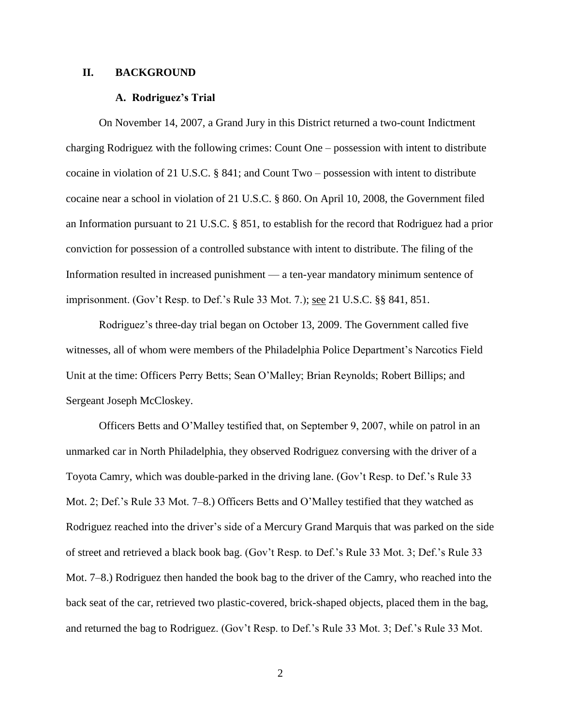### **II. BACKGROUND**

#### **A. Rodriguez's Trial**

On November 14, 2007, a Grand Jury in this District returned a two-count Indictment charging Rodriguez with the following crimes: Count One – possession with intent to distribute cocaine in violation of 21 U.S.C. § 841; and Count Two – possession with intent to distribute cocaine near a school in violation of 21 U.S.C. § 860. On April 10, 2008, the Government filed an Information pursuant to 21 U.S.C. § 851, to establish for the record that Rodriguez had a prior conviction for possession of a controlled substance with intent to distribute. The filing of the Information resulted in increased punishment — a ten-year mandatory minimum sentence of imprisonment. (Gov't Resp. to Def.'s Rule 33 Mot. 7.); see 21 U.S.C. §§ 841, 851.

Rodriguez's three-day trial began on October 13, 2009. The Government called five witnesses, all of whom were members of the Philadelphia Police Department's Narcotics Field Unit at the time: Officers Perry Betts; Sean O'Malley; Brian Reynolds; Robert Billips; and Sergeant Joseph McCloskey.

Officers Betts and O'Malley testified that, on September 9, 2007, while on patrol in an unmarked car in North Philadelphia, they observed Rodriguez conversing with the driver of a Toyota Camry, which was double-parked in the driving lane. (Gov't Resp. to Def.'s Rule 33 Mot. 2; Def.'s Rule 33 Mot. 7–8.) Officers Betts and O'Malley testified that they watched as Rodriguez reached into the driver's side of a Mercury Grand Marquis that was parked on the side of street and retrieved a black book bag. (Gov't Resp. to Def.'s Rule 33 Mot. 3; Def.'s Rule 33 Mot. 7–8.) Rodriguez then handed the book bag to the driver of the Camry, who reached into the back seat of the car, retrieved two plastic-covered, brick-shaped objects, placed them in the bag, and returned the bag to Rodriguez. (Gov't Resp. to Def.'s Rule 33 Mot. 3; Def.'s Rule 33 Mot.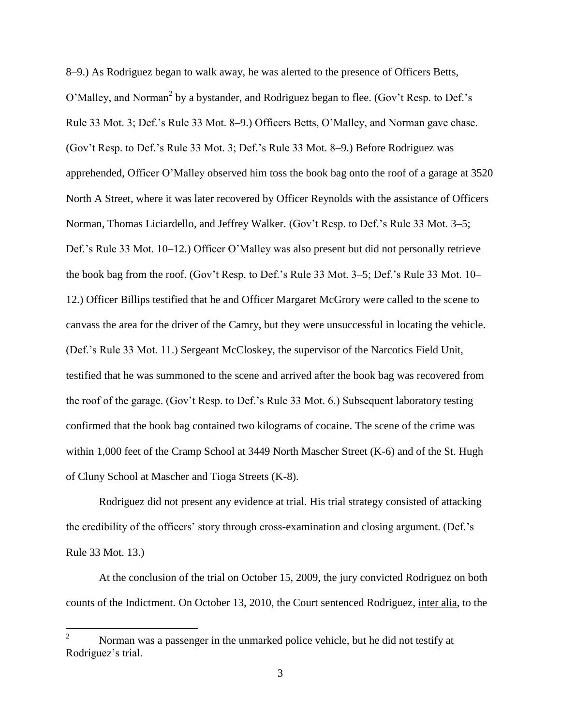8–9.) As Rodriguez began to walk away, he was alerted to the presence of Officers Betts, O'Malley, and Norman<sup>2</sup> by a bystander, and Rodriguez began to flee. (Gov't Resp. to Def.'s Rule 33 Mot. 3; Def.'s Rule 33 Mot. 8–9.) Officers Betts, O'Malley, and Norman gave chase. (Gov't Resp. to Def.'s Rule 33 Mot. 3; Def.'s Rule 33 Mot. 8–9.) Before Rodriguez was apprehended, Officer O'Malley observed him toss the book bag onto the roof of a garage at 3520 North A Street, where it was later recovered by Officer Reynolds with the assistance of Officers Norman, Thomas Liciardello, and Jeffrey Walker. (Gov't Resp. to Def.'s Rule 33 Mot. 3–5; Def.'s Rule 33 Mot. 10–12.) Officer O'Malley was also present but did not personally retrieve the book bag from the roof. (Gov't Resp. to Def.'s Rule 33 Mot. 3–5; Def.'s Rule 33 Mot. 10– 12.) Officer Billips testified that he and Officer Margaret McGrory were called to the scene to canvass the area for the driver of the Camry, but they were unsuccessful in locating the vehicle. (Def.'s Rule 33 Mot. 11.) Sergeant McCloskey, the supervisor of the Narcotics Field Unit, testified that he was summoned to the scene and arrived after the book bag was recovered from the roof of the garage. (Gov't Resp. to Def.'s Rule 33 Mot. 6.) Subsequent laboratory testing confirmed that the book bag contained two kilograms of cocaine. The scene of the crime was within 1,000 feet of the Cramp School at 3449 North Mascher Street (K-6) and of the St. Hugh of Cluny School at Mascher and Tioga Streets (K-8).

Rodriguez did not present any evidence at trial. His trial strategy consisted of attacking the credibility of the officers' story through cross-examination and closing argument. (Def.'s Rule 33 Mot. 13.)

At the conclusion of the trial on October 15, 2009, the jury convicted Rodriguez on both counts of the Indictment. On October 13, 2010, the Court sentenced Rodriguez, inter alia, to the

 $\overline{a}$ 

Norman was a passenger in the unmarked police vehicle, but he did not testify at Rodriguez's trial.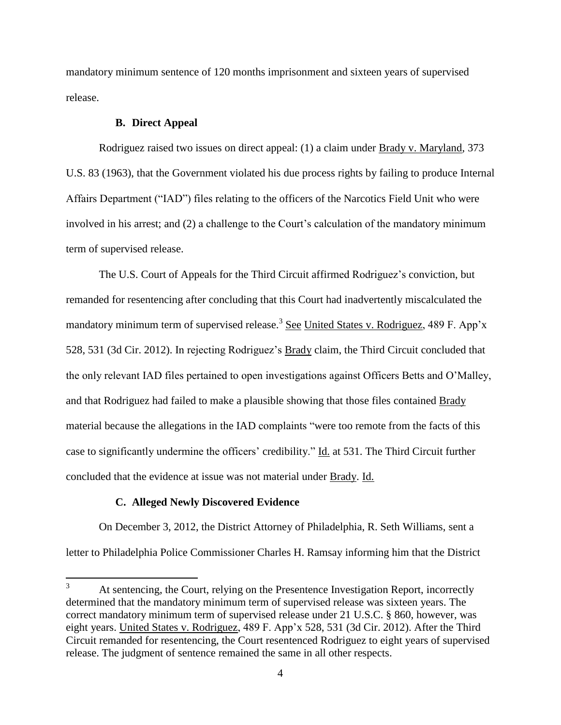mandatory minimum sentence of 120 months imprisonment and sixteen years of supervised release.

## **B. Direct Appeal**

Rodriguez raised two issues on direct appeal: (1) a claim under **Brady v. Maryland**, 373 U.S. 83 (1963), that the Government violated his due process rights by failing to produce Internal Affairs Department ("IAD") files relating to the officers of the Narcotics Field Unit who were involved in his arrest; and (2) a challenge to the Court's calculation of the mandatory minimum term of supervised release.

The U.S. Court of Appeals for the Third Circuit affirmed Rodriguez's conviction, but remanded for resentencing after concluding that this Court had inadvertently miscalculated the mandatory minimum term of supervised release.<sup>3</sup> See United States v. Rodriguez, 489 F. App'x 528, 531 (3d Cir. 2012). In rejecting Rodriguez's Brady claim, the Third Circuit concluded that the only relevant IAD files pertained to open investigations against Officers Betts and O'Malley, and that Rodriguez had failed to make a plausible showing that those files contained Brady material because the allegations in the IAD complaints "were too remote from the facts of this case to significantly undermine the officers' credibility." Id. at 531. The Third Circuit further concluded that the evidence at issue was not material under Brady. Id.

## **C. Alleged Newly Discovered Evidence**

On December 3, 2012, the District Attorney of Philadelphia, R. Seth Williams, sent a letter to Philadelphia Police Commissioner Charles H. Ramsay informing him that the District

 $3<sup>7</sup>$ At sentencing, the Court, relying on the Presentence Investigation Report, incorrectly determined that the mandatory minimum term of supervised release was sixteen years. The correct mandatory minimum term of supervised release under 21 U.S.C. § 860, however, was eight years. United States v. Rodriguez, 489 F. App'x 528, 531 (3d Cir. 2012). After the Third Circuit remanded for resentencing, the Court resentenced Rodriguez to eight years of supervised release. The judgment of sentence remained the same in all other respects.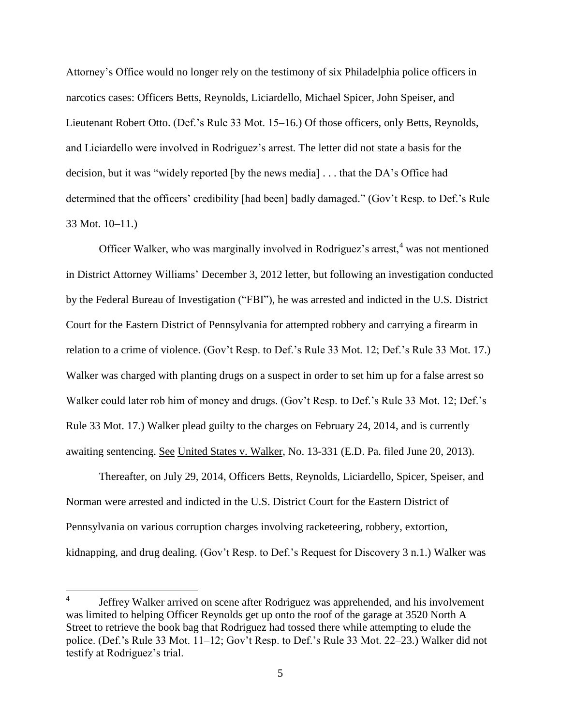Attorney's Office would no longer rely on the testimony of six Philadelphia police officers in narcotics cases: Officers Betts, Reynolds, Liciardello, Michael Spicer, John Speiser, and Lieutenant Robert Otto. (Def.'s Rule 33 Mot. 15–16.) Of those officers, only Betts, Reynolds, and Liciardello were involved in Rodriguez's arrest. The letter did not state a basis for the decision, but it was "widely reported [by the news media] . . . that the DA's Office had determined that the officers' credibility [had been] badly damaged." (Gov't Resp. to Def.'s Rule 33 Mot. 10–11.)

Officer Walker, who was marginally involved in Rodriguez's arrest,  $4$  was not mentioned in District Attorney Williams' December 3, 2012 letter, but following an investigation conducted by the Federal Bureau of Investigation ("FBI"), he was arrested and indicted in the U.S. District Court for the Eastern District of Pennsylvania for attempted robbery and carrying a firearm in relation to a crime of violence. (Gov't Resp. to Def.'s Rule 33 Mot. 12; Def.'s Rule 33 Mot. 17.) Walker was charged with planting drugs on a suspect in order to set him up for a false arrest so Walker could later rob him of money and drugs. (Gov't Resp. to Def.'s Rule 33 Mot. 12; Def.'s Rule 33 Mot. 17.) Walker plead guilty to the charges on February 24, 2014, and is currently awaiting sentencing. See United States v. Walker, No. 13-331 (E.D. Pa. filed June 20, 2013).

Thereafter, on July 29, 2014, Officers Betts, Reynolds, Liciardello, Spicer, Speiser, and Norman were arrested and indicted in the U.S. District Court for the Eastern District of Pennsylvania on various corruption charges involving racketeering, robbery, extortion, kidnapping, and drug dealing. (Gov't Resp. to Def.'s Request for Discovery 3 n.1.) Walker was

 $\frac{1}{4}$ Jeffrey Walker arrived on scene after Rodriguez was apprehended, and his involvement was limited to helping Officer Reynolds get up onto the roof of the garage at 3520 North A Street to retrieve the book bag that Rodriguez had tossed there while attempting to elude the police. (Def.'s Rule 33 Mot. 11–12; Gov't Resp. to Def.'s Rule 33 Mot. 22–23.) Walker did not testify at Rodriguez's trial.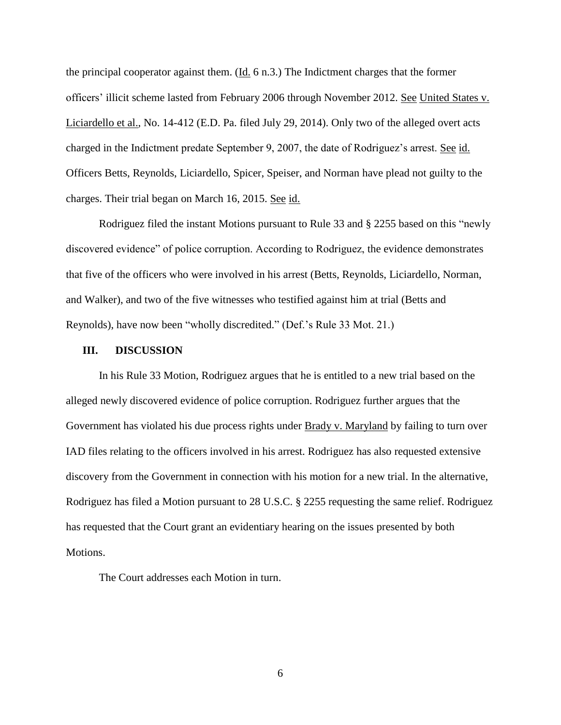the principal cooperator against them. (Id. 6 n.3.) The Indictment charges that the former officers' illicit scheme lasted from February 2006 through November 2012. See United States v. Liciardello et al., No. 14-412 (E.D. Pa. filed July 29, 2014). Only two of the alleged overt acts charged in the Indictment predate September 9, 2007, the date of Rodriguez's arrest. See id. Officers Betts, Reynolds, Liciardello, Spicer, Speiser, and Norman have plead not guilty to the charges. Their trial began on March 16, 2015. See id.

Rodriguez filed the instant Motions pursuant to Rule 33 and § 2255 based on this "newly discovered evidence" of police corruption. According to Rodriguez, the evidence demonstrates that five of the officers who were involved in his arrest (Betts, Reynolds, Liciardello, Norman, and Walker), and two of the five witnesses who testified against him at trial (Betts and Reynolds), have now been "wholly discredited." (Def.'s Rule 33 Mot. 21.)

#### **III. DISCUSSION**

In his Rule 33 Motion, Rodriguez argues that he is entitled to a new trial based on the alleged newly discovered evidence of police corruption. Rodriguez further argues that the Government has violated his due process rights under Brady v. Maryland by failing to turn over IAD files relating to the officers involved in his arrest. Rodriguez has also requested extensive discovery from the Government in connection with his motion for a new trial. In the alternative, Rodriguez has filed a Motion pursuant to 28 U.S.C. § 2255 requesting the same relief. Rodriguez has requested that the Court grant an evidentiary hearing on the issues presented by both Motions.

The Court addresses each Motion in turn.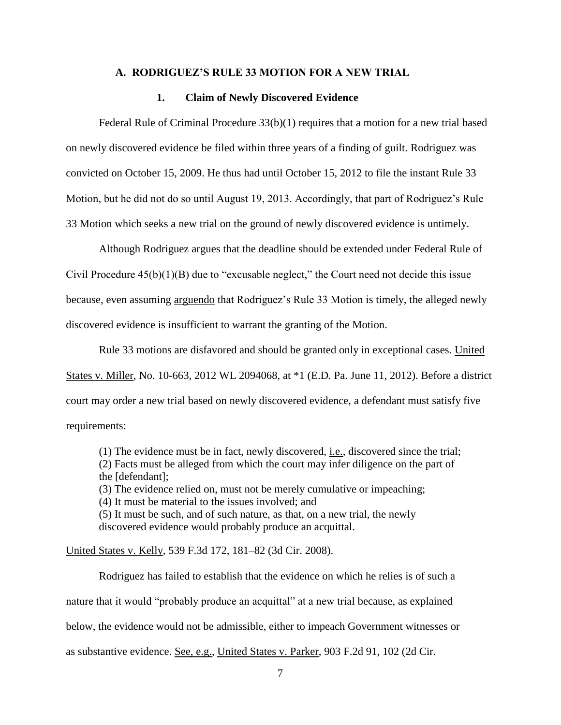## **A. RODRIGUEZ'S RULE 33 MOTION FOR A NEW TRIAL**

#### **1. Claim of Newly Discovered Evidence**

Federal Rule of Criminal Procedure 33(b)(1) requires that a motion for a new trial based on newly discovered evidence be filed within three years of a finding of guilt. Rodriguez was convicted on October 15, 2009. He thus had until October 15, 2012 to file the instant Rule 33 Motion, but he did not do so until August 19, 2013. Accordingly, that part of Rodriguez's Rule 33 Motion which seeks a new trial on the ground of newly discovered evidence is untimely.

Although Rodriguez argues that the deadline should be extended under Federal Rule of Civil Procedure 45(b)(1)(B) due to "excusable neglect," the Court need not decide this issue because, even assuming arguendo that Rodriguez's Rule 33 Motion is timely, the alleged newly discovered evidence is insufficient to warrant the granting of the Motion.

Rule 33 motions are disfavored and should be granted only in exceptional cases. United States v. Miller, No. 10-663, 2012 WL 2094068, at \*1 (E.D. Pa. June 11, 2012). Before a district court may order a new trial based on newly discovered evidence, a defendant must satisfy five requirements:

(1) The evidence must be in fact, newly discovered, i.e., discovered since the trial; (2) Facts must be alleged from which the court may infer diligence on the part of the [defendant]; (3) The evidence relied on, must not be merely cumulative or impeaching; (4) It must be material to the issues involved; and (5) It must be such, and of such nature, as that, on a new trial, the newly discovered evidence would probably produce an acquittal.

United States v. Kelly, 539 F.3d 172, 181–82 (3d Cir. 2008).

Rodriguez has failed to establish that the evidence on which he relies is of such a nature that it would "probably produce an acquittal" at a new trial because, as explained below, the evidence would not be admissible, either to impeach Government witnesses or as substantive evidence. See, e.g., United States v. Parker, 903 F.2d 91, 102 (2d Cir.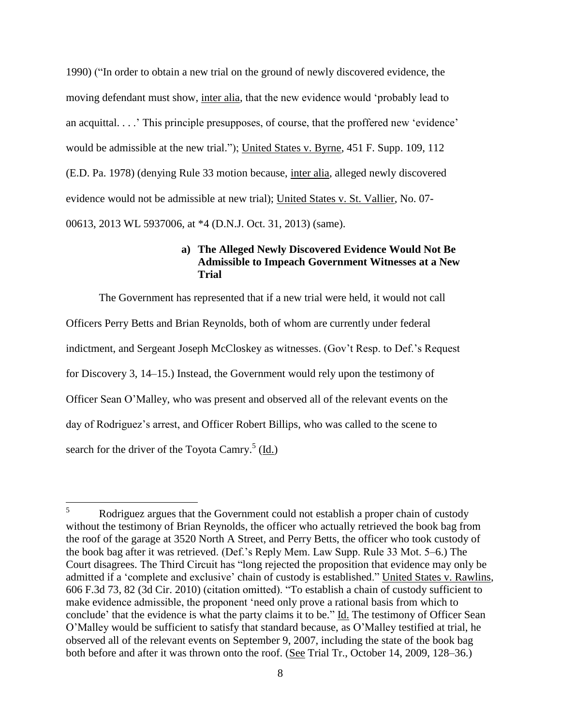1990) ("In order to obtain a new trial on the ground of newly discovered evidence, the moving defendant must show, inter alia, that the new evidence would 'probably lead to an acquittal. . . .' This principle presupposes, of course, that the proffered new 'evidence' would be admissible at the new trial."); United States v. Byrne, 451 F. Supp. 109, 112 (E.D. Pa. 1978) (denying Rule 33 motion because, inter alia, alleged newly discovered evidence would not be admissible at new trial); United States v. St. Vallier, No. 07- 00613, 2013 WL 5937006, at \*4 (D.N.J. Oct. 31, 2013) (same).

# **a) The Alleged Newly Discovered Evidence Would Not Be Admissible to Impeach Government Witnesses at a New Trial**

The Government has represented that if a new trial were held, it would not call Officers Perry Betts and Brian Reynolds, both of whom are currently under federal indictment, and Sergeant Joseph McCloskey as witnesses. (Gov't Resp. to Def.'s Request for Discovery 3, 14–15.) Instead, the Government would rely upon the testimony of Officer Sean O'Malley, who was present and observed all of the relevant events on the day of Rodriguez's arrest, and Officer Robert Billips, who was called to the scene to search for the driver of the Toyota Camry.<sup>5</sup> (Id.)

 $5\overline{)}$ <sup>5</sup> Rodriguez argues that the Government could not establish a proper chain of custody without the testimony of Brian Reynolds, the officer who actually retrieved the book bag from the roof of the garage at 3520 North A Street, and Perry Betts, the officer who took custody of the book bag after it was retrieved. (Def.'s Reply Mem. Law Supp. Rule 33 Mot. 5–6.) The Court disagrees. The Third Circuit has "long rejected the proposition that evidence may only be admitted if a 'complete and exclusive' chain of custody is established." United States v. Rawlins, 606 F.3d 73, 82 (3d Cir. 2010) (citation omitted). "To establish a chain of custody sufficient to make evidence admissible, the proponent 'need only prove a rational basis from which to conclude' that the evidence is what the party claims it to be." Id. The testimony of Officer Sean O'Malley would be sufficient to satisfy that standard because, as O'Malley testified at trial, he observed all of the relevant events on September 9, 2007, including the state of the book bag both before and after it was thrown onto the roof. (See Trial Tr., October 14, 2009, 128–36.)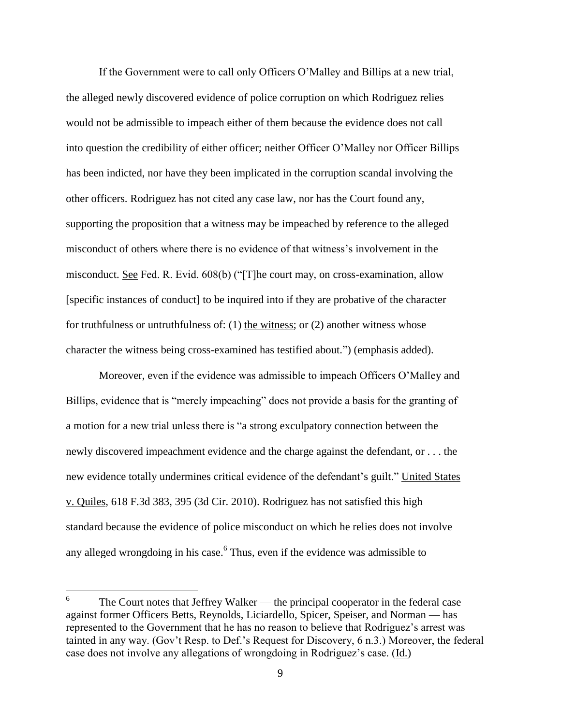If the Government were to call only Officers O'Malley and Billips at a new trial, the alleged newly discovered evidence of police corruption on which Rodriguez relies would not be admissible to impeach either of them because the evidence does not call into question the credibility of either officer; neither Officer O'Malley nor Officer Billips has been indicted, nor have they been implicated in the corruption scandal involving the other officers. Rodriguez has not cited any case law, nor has the Court found any, supporting the proposition that a witness may be impeached by reference to the alleged misconduct of others where there is no evidence of that witness's involvement in the misconduct. See Fed. R. Evid. 608(b) ("[T]he court may, on cross-examination, allow [specific instances of conduct] to be inquired into if they are probative of the character for truthfulness or untruthfulness of: (1) the witness; or (2) another witness whose character the witness being cross-examined has testified about.") (emphasis added).

Moreover, even if the evidence was admissible to impeach Officers O'Malley and Billips, evidence that is "merely impeaching" does not provide a basis for the granting of a motion for a new trial unless there is "a strong exculpatory connection between the newly discovered impeachment evidence and the charge against the defendant, or . . . the new evidence totally undermines critical evidence of the defendant's guilt." United States v. Quiles, 618 F.3d 383, 395 (3d Cir. 2010). Rodriguez has not satisfied this high standard because the evidence of police misconduct on which he relies does not involve any alleged wrongdoing in his case.<sup>6</sup> Thus, even if the evidence was admissible to

 6 The Court notes that Jeffrey Walker — the principal cooperator in the federal case against former Officers Betts, Reynolds, Liciardello, Spicer, Speiser, and Norman — has represented to the Government that he has no reason to believe that Rodriguez's arrest was tainted in any way. (Gov't Resp. to Def.'s Request for Discovery, 6 n.3.) Moreover, the federal case does not involve any allegations of wrongdoing in Rodriguez's case. (Id.)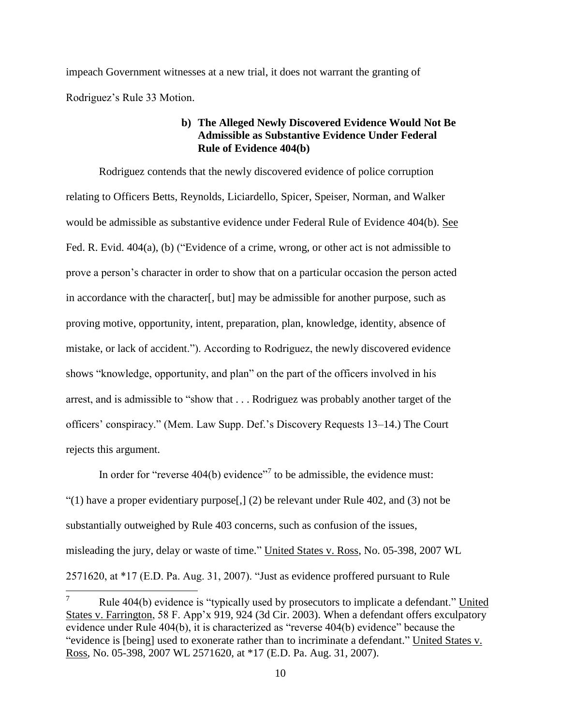impeach Government witnesses at a new trial, it does not warrant the granting of Rodriguez's Rule 33 Motion.

## **b) The Alleged Newly Discovered Evidence Would Not Be Admissible as Substantive Evidence Under Federal Rule of Evidence 404(b)**

Rodriguez contends that the newly discovered evidence of police corruption relating to Officers Betts, Reynolds, Liciardello, Spicer, Speiser, Norman, and Walker would be admissible as substantive evidence under Federal Rule of Evidence 404(b). See Fed. R. Evid. 404(a), (b) ("Evidence of a crime, wrong, or other act is not admissible to prove a person's character in order to show that on a particular occasion the person acted in accordance with the character[, but] may be admissible for another purpose, such as proving motive, opportunity, intent, preparation, plan, knowledge, identity, absence of mistake, or lack of accident."). According to Rodriguez, the newly discovered evidence shows "knowledge, opportunity, and plan" on the part of the officers involved in his arrest, and is admissible to "show that . . . Rodriguez was probably another target of the officers' conspiracy." (Mem. Law Supp. Def.'s Discovery Requests 13–14.) The Court rejects this argument.

In order for "reverse  $404(b)$  evidence"<sup>7</sup> to be admissible, the evidence must: "(1) have a proper evidentiary purpose  $[1]$ , (2) be relevant under Rule 402, and (3) not be substantially outweighed by Rule 403 concerns, such as confusion of the issues, misleading the jury, delay or waste of time." United States v. Ross, No. 05-398, 2007 WL 2571620, at \*17 (E.D. Pa. Aug. 31, 2007). "Just as evidence proffered pursuant to Rule

 $\overline{7}$ <sup>7</sup> Rule 404(b) evidence is "typically used by prosecutors to implicate a defendant." United States v. Farrington, 58 F. App'x 919, 924 (3d Cir. 2003). When a defendant offers exculpatory evidence under Rule 404(b), it is characterized as "reverse 404(b) evidence" because the "evidence is [being] used to exonerate rather than to incriminate a defendant." United States v. Ross, No. 05-398, 2007 WL 2571620, at \*17 (E.D. Pa. Aug. 31, 2007).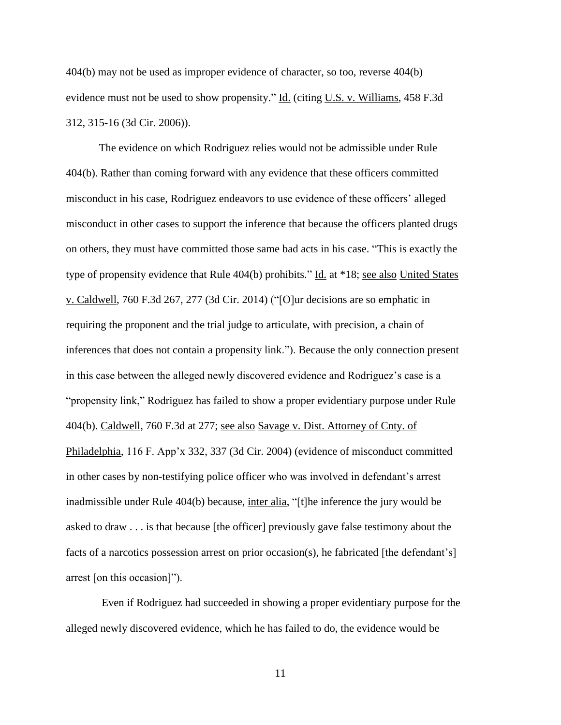404(b) may not be used as improper evidence of character, so too, reverse 404(b) evidence must not be used to show propensity." Id. (citing U.S. v. Williams, 458 F.3d 312, 315-16 (3d Cir. 2006)).

The evidence on which Rodriguez relies would not be admissible under Rule 404(b). Rather than coming forward with any evidence that these officers committed misconduct in his case, Rodriguez endeavors to use evidence of these officers' alleged misconduct in other cases to support the inference that because the officers planted drugs on others, they must have committed those same bad acts in his case. "This is exactly the type of propensity evidence that Rule 404(b) prohibits." Id. at \*18; see also United States v. Caldwell, 760 F.3d 267, 277 (3d Cir. 2014) ("[O]ur decisions are so emphatic in requiring the proponent and the trial judge to articulate, with precision, a chain of inferences that does not contain a propensity link."). Because the only connection present in this case between the alleged newly discovered evidence and Rodriguez's case is a "propensity link," Rodriguez has failed to show a proper evidentiary purpose under Rule 404(b). Caldwell, 760 F.3d at 277; see also Savage v. Dist. Attorney of Cnty. of Philadelphia, 116 F. App'x 332, 337 (3d Cir. 2004) (evidence of misconduct committed in other cases by non-testifying police officer who was involved in defendant's arrest inadmissible under Rule 404(b) because, inter alia, "[t]he inference the jury would be asked to draw . . . is that because [the officer] previously gave false testimony about the facts of a narcotics possession arrest on prior occasion(s), he fabricated [the defendant's] arrest [on this occasion]").

Even if Rodriguez had succeeded in showing a proper evidentiary purpose for the alleged newly discovered evidence, which he has failed to do, the evidence would be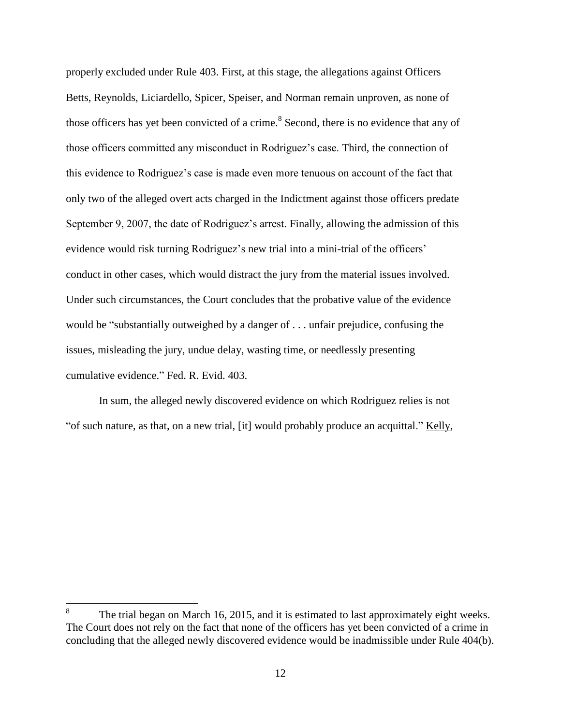properly excluded under Rule 403. First, at this stage, the allegations against Officers Betts, Reynolds, Liciardello, Spicer, Speiser, and Norman remain unproven, as none of those officers has yet been convicted of a crime.<sup>8</sup> Second, there is no evidence that any of those officers committed any misconduct in Rodriguez's case. Third, the connection of this evidence to Rodriguez's case is made even more tenuous on account of the fact that only two of the alleged overt acts charged in the Indictment against those officers predate September 9, 2007, the date of Rodriguez's arrest. Finally, allowing the admission of this evidence would risk turning Rodriguez's new trial into a mini-trial of the officers' conduct in other cases, which would distract the jury from the material issues involved. Under such circumstances, the Court concludes that the probative value of the evidence would be "substantially outweighed by a danger of . . . unfair prejudice, confusing the issues, misleading the jury, undue delay, wasting time, or needlessly presenting cumulative evidence." Fed. R. Evid. 403.

In sum, the alleged newly discovered evidence on which Rodriguez relies is not "of such nature, as that, on a new trial, [it] would probably produce an acquittal." Kelly,

 $\overline{a}$ 

<sup>8</sup> The trial began on March 16, 2015, and it is estimated to last approximately eight weeks. The Court does not rely on the fact that none of the officers has yet been convicted of a crime in concluding that the alleged newly discovered evidence would be inadmissible under Rule 404(b).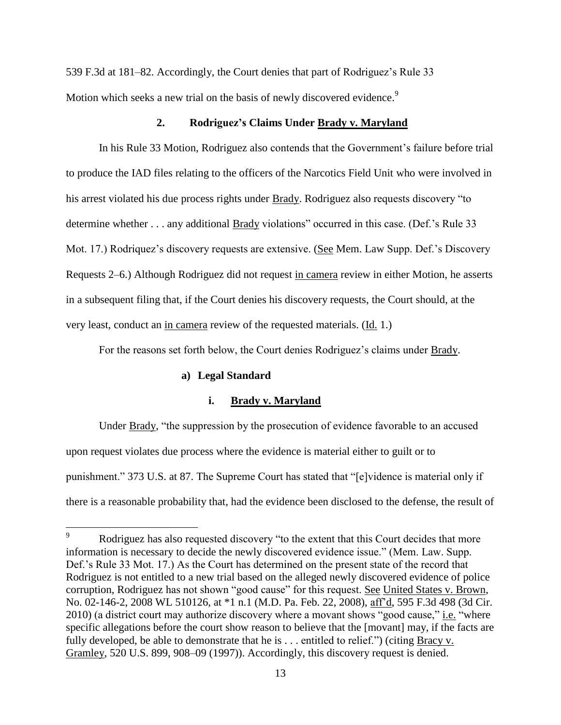539 F.3d at 181–82. Accordingly, the Court denies that part of Rodriguez's Rule 33 Motion which seeks a new trial on the basis of newly discovered evidence.<sup>9</sup>

## **2. Rodriguez's Claims Under Brady v. Maryland**

In his Rule 33 Motion, Rodriguez also contends that the Government's failure before trial to produce the IAD files relating to the officers of the Narcotics Field Unit who were involved in his arrest violated his due process rights under Brady. Rodriguez also requests discovery "to determine whether . . . any additional Brady violations" occurred in this case. (Def.'s Rule 33 Mot. 17.) Rodriquez's discovery requests are extensive. (See Mem. Law Supp. Def.'s Discovery Requests 2–6.) Although Rodriguez did not request in camera review in either Motion, he asserts in a subsequent filing that, if the Court denies his discovery requests, the Court should, at the very least, conduct an in camera review of the requested materials. (Id. 1.)

For the reasons set forth below, the Court denies Rodriguez's claims under Brady.

### **a) Legal Standard**

 $\overline{a}$ 

## **i. Brady v. Maryland**

Under Brady, "the suppression by the prosecution of evidence favorable to an accused upon request violates due process where the evidence is material either to guilt or to punishment." 373 U.S. at 87. The Supreme Court has stated that "[e]vidence is material only if there is a reasonable probability that, had the evidence been disclosed to the defense, the result of

Rodriguez has also requested discovery "to the extent that this Court decides that more information is necessary to decide the newly discovered evidence issue." (Mem. Law. Supp. Def.'s Rule 33 Mot. 17.) As the Court has determined on the present state of the record that Rodriguez is not entitled to a new trial based on the alleged newly discovered evidence of police corruption, Rodriguez has not shown "good cause" for this request. See United States v. Brown, No. 02-146-2, 2008 WL 510126, at \*1 n.1 (M.D. Pa. Feb. 22, 2008), aff'd, 595 F.3d 498 (3d Cir. 2010) (a district court may authorize discovery where a movant shows "good cause," i.e. "where specific allegations before the court show reason to believe that the [movant] may, if the facts are fully developed, be able to demonstrate that he is  $\dots$  entitled to relief.") (citing Bracy v. Gramley, 520 U.S. 899, 908–09 (1997)). Accordingly, this discovery request is denied.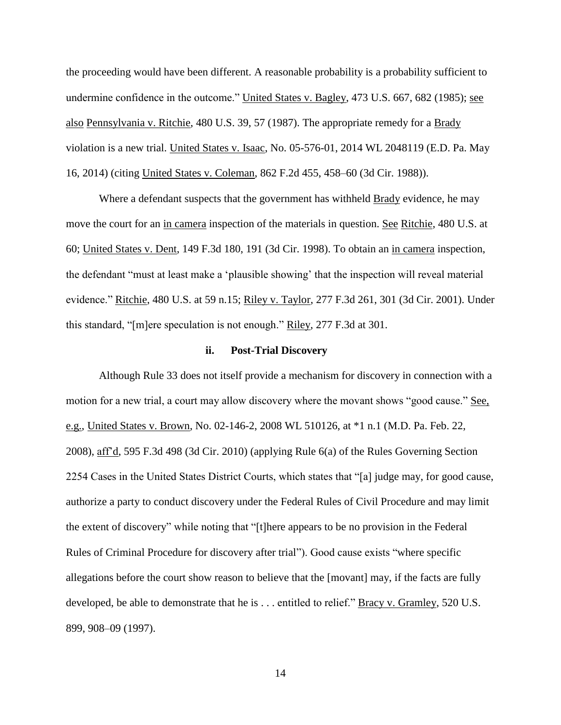the proceeding would have been different. A reasonable probability is a probability sufficient to undermine confidence in the outcome." United States v. Bagley, 473 U.S. 667, 682 (1985); see also Pennsylvania v. Ritchie, 480 U.S. 39, 57 (1987). The appropriate remedy for a Brady violation is a new trial. United States v. Isaac, No. 05-576-01, 2014 WL 2048119 (E.D. Pa. May 16, 2014) (citing United States v. Coleman, 862 F.2d 455, 458–60 (3d Cir. 1988)).

Where a defendant suspects that the government has withheld Brady evidence, he may move the court for an in camera inspection of the materials in question. See Ritchie, 480 U.S. at 60; United States v. Dent, 149 F.3d 180, 191 (3d Cir. 1998). To obtain an in camera inspection, the defendant "must at least make a 'plausible showing' that the inspection will reveal material evidence." Ritchie, 480 U.S. at 59 n.15; Riley v. Taylor, 277 F.3d 261, 301 (3d Cir. 2001). Under this standard, "[m]ere speculation is not enough." Riley, 277 F.3d at 301.

#### **ii. Post-Trial Discovery**

Although Rule 33 does not itself provide a mechanism for discovery in connection with a motion for a new trial, a court may allow discovery where the movant shows "good cause." See, e.g., United States v. Brown, No. 02-146-2, 2008 WL 510126, at \*1 n.1 (M.D. Pa. Feb. 22, 2008), aff'd, 595 F.3d 498 (3d Cir. 2010) (applying Rule 6(a) of the Rules Governing Section 2254 Cases in the United States District Courts, which states that "[a] judge may, for good cause, authorize a party to conduct discovery under the Federal Rules of Civil Procedure and may limit the extent of discovery" while noting that "[t]here appears to be no provision in the Federal Rules of Criminal Procedure for discovery after trial"). Good cause exists "where specific allegations before the court show reason to believe that the [movant] may, if the facts are fully developed, be able to demonstrate that he is . . . entitled to relief." Bracy v. Gramley, 520 U.S. 899, 908–09 (1997).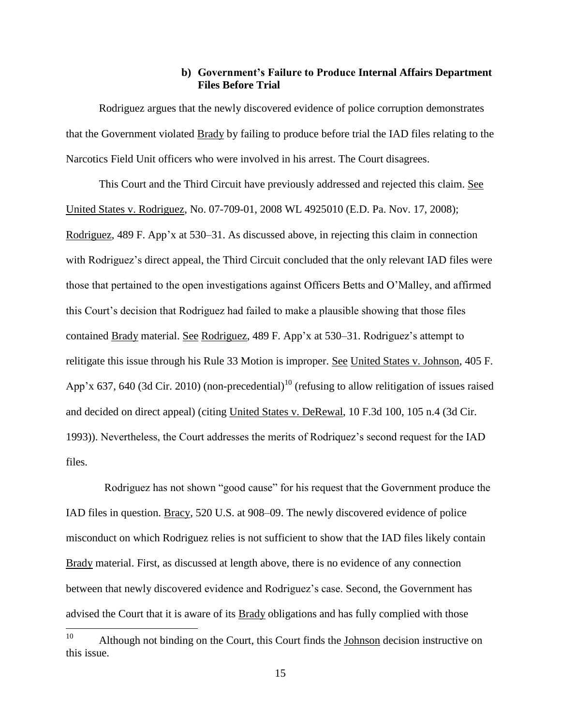## **b) Government's Failure to Produce Internal Affairs Department Files Before Trial**

Rodriguez argues that the newly discovered evidence of police corruption demonstrates that the Government violated Brady by failing to produce before trial the IAD files relating to the Narcotics Field Unit officers who were involved in his arrest. The Court disagrees.

This Court and the Third Circuit have previously addressed and rejected this claim. See United States v. Rodriguez, No. 07-709-01, 2008 WL 4925010 (E.D. Pa. Nov. 17, 2008); Rodriguez, 489 F. App'x at 530–31. As discussed above, in rejecting this claim in connection with Rodriguez's direct appeal, the Third Circuit concluded that the only relevant IAD files were those that pertained to the open investigations against Officers Betts and O'Malley, and affirmed this Court's decision that Rodriguez had failed to make a plausible showing that those files contained Brady material. See Rodriguez, 489 F. App'x at 530–31. Rodriguez's attempt to relitigate this issue through his Rule 33 Motion is improper. See United States v. Johnson, 405 F. App'x 637, 640 (3d Cir. 2010) (non-precedential)<sup>10</sup> (refusing to allow relitigation of issues raised and decided on direct appeal) (citing United States v. DeRewal, 10 F.3d 100, 105 n.4 (3d Cir. 1993)). Nevertheless, the Court addresses the merits of Rodriquez's second request for the IAD files.

Rodriguez has not shown "good cause" for his request that the Government produce the IAD files in question. Bracy, 520 U.S. at 908–09. The newly discovered evidence of police misconduct on which Rodriguez relies is not sufficient to show that the IAD files likely contain Brady material. First, as discussed at length above, there is no evidence of any connection between that newly discovered evidence and Rodriguez's case. Second, the Government has advised the Court that it is aware of its **Brady** obligations and has fully complied with those

 $10<sup>10</sup>$ Although not binding on the Court, this Court finds the Johnson decision instructive on this issue.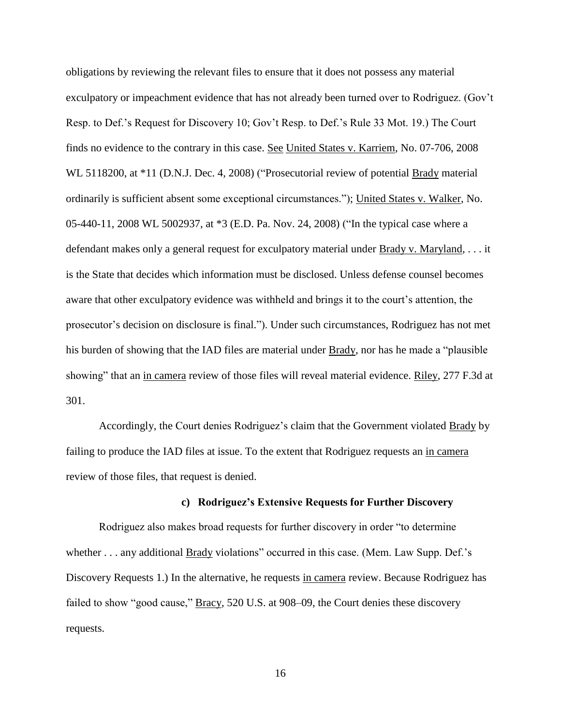obligations by reviewing the relevant files to ensure that it does not possess any material exculpatory or impeachment evidence that has not already been turned over to Rodriguez. (Gov't Resp. to Def.'s Request for Discovery 10; Gov't Resp. to Def.'s Rule 33 Mot. 19.) The Court finds no evidence to the contrary in this case. See United States v. Karriem, No. 07-706, 2008 WL 5118200, at \*11 (D.N.J. Dec. 4, 2008) ("Prosecutorial review of potential Brady material ordinarily is sufficient absent some exceptional circumstances."); United States v. Walker, No. 05-440-11, 2008 WL 5002937, at \*3 (E.D. Pa. Nov. 24, 2008) ("In the typical case where a defendant makes only a general request for exculpatory material under Brady v. Maryland, . . . it is the State that decides which information must be disclosed. Unless defense counsel becomes aware that other exculpatory evidence was withheld and brings it to the court's attention, the prosecutor's decision on disclosure is final."). Under such circumstances, Rodriguez has not met his burden of showing that the IAD files are material under Brady, nor has he made a "plausible showing" that an in camera review of those files will reveal material evidence. Riley, 277 F.3d at 301.

Accordingly, the Court denies Rodriguez's claim that the Government violated Brady by failing to produce the IAD files at issue. To the extent that Rodriguez requests an in camera review of those files, that request is denied.

#### **c) Rodriguez's Extensive Requests for Further Discovery**

Rodriguez also makes broad requests for further discovery in order "to determine whether . . . any additional Brady violations" occurred in this case. (Mem. Law Supp. Def.'s Discovery Requests 1.) In the alternative, he requests in camera review. Because Rodriguez has failed to show "good cause," Bracy, 520 U.S. at 908–09, the Court denies these discovery requests.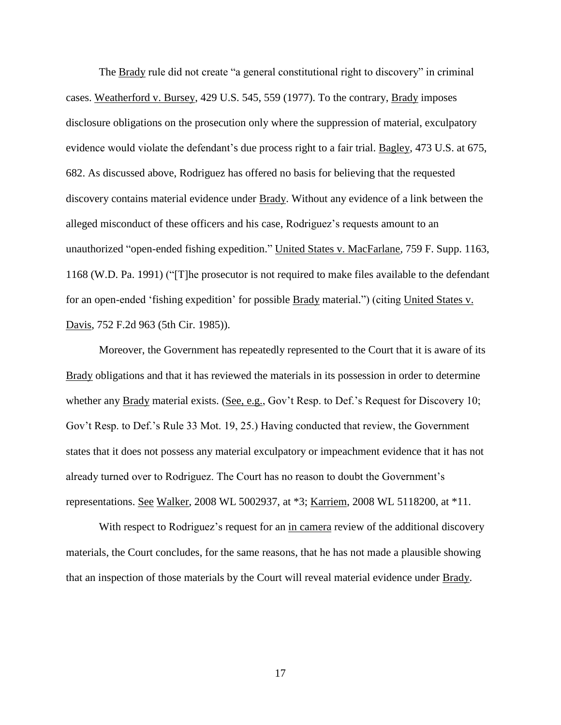The Brady rule did not create "a general constitutional right to discovery" in criminal cases. Weatherford v. Bursey, 429 U.S. 545, 559 (1977). To the contrary, Brady imposes disclosure obligations on the prosecution only where the suppression of material, exculpatory evidence would violate the defendant's due process right to a fair trial. Bagley, 473 U.S. at 675, 682. As discussed above, Rodriguez has offered no basis for believing that the requested discovery contains material evidence under Brady. Without any evidence of a link between the alleged misconduct of these officers and his case, Rodriguez's requests amount to an unauthorized "open-ended fishing expedition." United States v. MacFarlane, 759 F. Supp. 1163, 1168 (W.D. Pa. 1991) ("[T]he prosecutor is not required to make files available to the defendant for an open-ended 'fishing expedition' for possible Brady material.") (citing United States v. Davis, 752 F.2d 963 (5th Cir. 1985)).

Moreover, the Government has repeatedly represented to the Court that it is aware of its Brady obligations and that it has reviewed the materials in its possession in order to determine whether any Brady material exists. (See, e.g., Gov't Resp. to Def.'s Request for Discovery 10; Gov't Resp. to Def.'s Rule 33 Mot. 19, 25.) Having conducted that review, the Government states that it does not possess any material exculpatory or impeachment evidence that it has not already turned over to Rodriguez. The Court has no reason to doubt the Government's representations. See Walker, 2008 WL 5002937, at \*3; Karriem, 2008 WL 5118200, at \*11.

With respect to Rodriguez's request for an in camera review of the additional discovery materials, the Court concludes, for the same reasons, that he has not made a plausible showing that an inspection of those materials by the Court will reveal material evidence under Brady.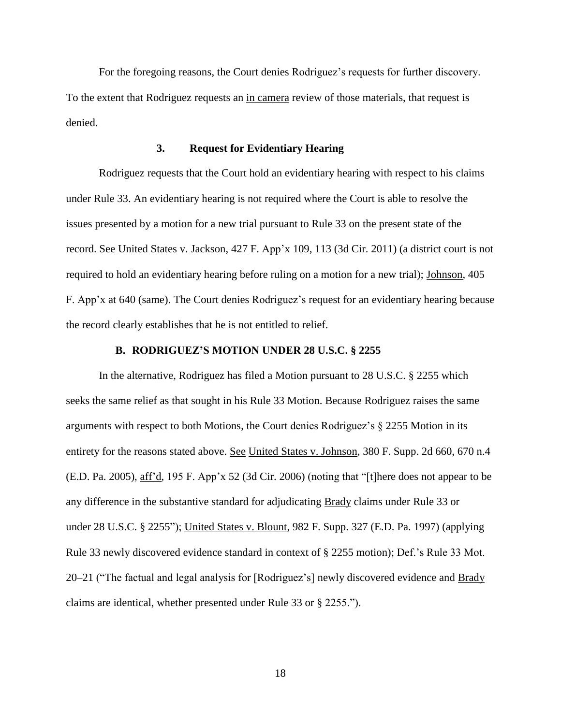For the foregoing reasons, the Court denies Rodriguez's requests for further discovery. To the extent that Rodriguez requests an in camera review of those materials, that request is denied.

#### **3. Request for Evidentiary Hearing**

Rodriguez requests that the Court hold an evidentiary hearing with respect to his claims under Rule 33. An evidentiary hearing is not required where the Court is able to resolve the issues presented by a motion for a new trial pursuant to Rule 33 on the present state of the record. See United States v. Jackson, 427 F. App'x 109, 113 (3d Cir. 2011) (a district court is not required to hold an evidentiary hearing before ruling on a motion for a new trial); Johnson, 405 F. App'x at 640 (same). The Court denies Rodriguez's request for an evidentiary hearing because the record clearly establishes that he is not entitled to relief.

#### **B. RODRIGUEZ'S MOTION UNDER 28 U.S.C. § 2255**

In the alternative, Rodriguez has filed a Motion pursuant to 28 U.S.C. § 2255 which seeks the same relief as that sought in his Rule 33 Motion. Because Rodriguez raises the same arguments with respect to both Motions, the Court denies Rodriguez's § 2255 Motion in its entirety for the reasons stated above. See United States v. Johnson, 380 F. Supp. 2d 660, 670 n.4 (E.D. Pa. 2005), aff'd, 195 F. App'x 52 (3d Cir. 2006) (noting that "[t]here does not appear to be any difference in the substantive standard for adjudicating Brady claims under Rule 33 or under 28 U.S.C. § 2255"); United States v. Blount, 982 F. Supp. 327 (E.D. Pa. 1997) (applying Rule 33 newly discovered evidence standard in context of § 2255 motion); Def.'s Rule 33 Mot. 20–21 ("The factual and legal analysis for [Rodriguez's] newly discovered evidence and **Brady** claims are identical, whether presented under Rule 33 or § 2255.").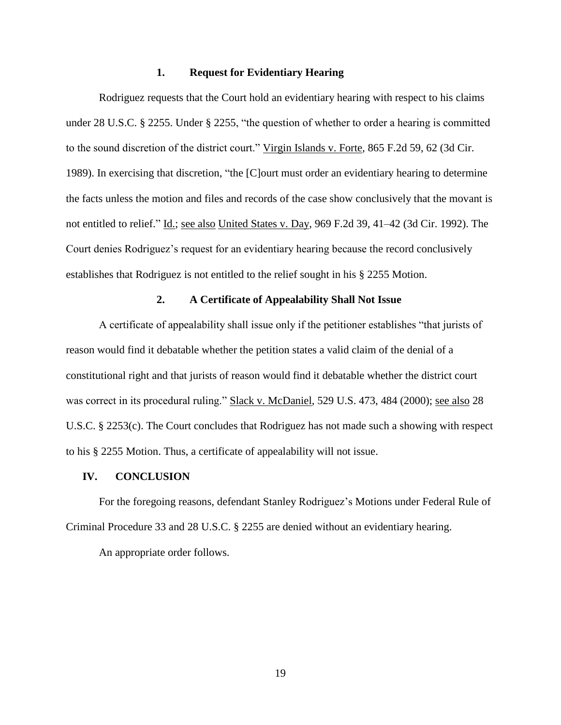#### **1. Request for Evidentiary Hearing**

Rodriguez requests that the Court hold an evidentiary hearing with respect to his claims under 28 U.S.C. § 2255. Under § 2255, "the question of whether to order a hearing is committed to the sound discretion of the district court." Virgin Islands v. Forte, 865 F.2d 59, 62 (3d Cir. 1989). In exercising that discretion, "the [C]ourt must order an evidentiary hearing to determine the facts unless the motion and files and records of the case show conclusively that the movant is not entitled to relief." Id.; see also United States v. Day, 969 F.2d 39, 41–42 (3d Cir. 1992). The Court denies Rodriguez's request for an evidentiary hearing because the record conclusively establishes that Rodriguez is not entitled to the relief sought in his § 2255 Motion.

# **2. A Certificate of Appealability Shall Not Issue**

A certificate of appealability shall issue only if the petitioner establishes "that jurists of reason would find it debatable whether the petition states a valid claim of the denial of a constitutional right and that jurists of reason would find it debatable whether the district court was correct in its procedural ruling." Slack v. McDaniel, 529 U.S. 473, 484 (2000); <u>see also</u> 28 U.S.C. § 2253(c). The Court concludes that Rodriguez has not made such a showing with respect to his § 2255 Motion. Thus, a certificate of appealability will not issue.

#### **IV. CONCLUSION**

For the foregoing reasons, defendant Stanley Rodriguez's Motions under Federal Rule of Criminal Procedure 33 and 28 U.S.C. § 2255 are denied without an evidentiary hearing.

An appropriate order follows.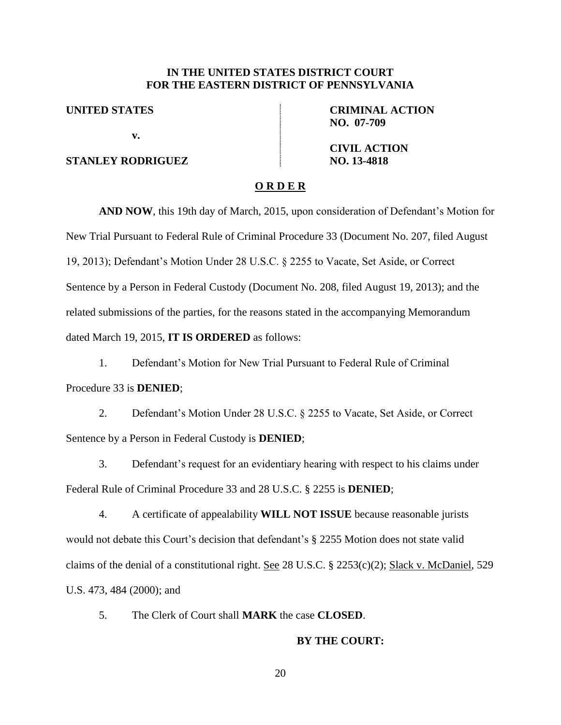# **IN THE UNITED STATES DISTRICT COURT FOR THE EASTERN DISTRICT OF PENNSYLVANIA**

**UNITED STATES**

**v.**

# **STANLEY RODRIGUEZ**

**CRIMINAL ACTION NO. 07-709**

**CIVIL ACTION NO. 13-4818**

## **O R D E R**

**AND NOW**, this 19th day of March, 2015, upon consideration of Defendant's Motion for New Trial Pursuant to Federal Rule of Criminal Procedure 33 (Document No. 207, filed August 19, 2013); Defendant's Motion Under 28 U.S.C. § 2255 to Vacate, Set Aside, or Correct Sentence by a Person in Federal Custody (Document No. 208, filed August 19, 2013); and the related submissions of the parties, for the reasons stated in the accompanying Memorandum dated March 19, 2015, **IT IS ORDERED** as follows:

1. Defendant's Motion for New Trial Pursuant to Federal Rule of Criminal Procedure 33 is **DENIED**;

2. Defendant's Motion Under 28 U.S.C. § 2255 to Vacate, Set Aside, or Correct Sentence by a Person in Federal Custody is **DENIED**;

3. Defendant's request for an evidentiary hearing with respect to his claims under Federal Rule of Criminal Procedure 33 and 28 U.S.C. § 2255 is **DENIED**;

4. A certificate of appealability **WILL NOT ISSUE** because reasonable jurists would not debate this Court's decision that defendant's § 2255 Motion does not state valid claims of the denial of a constitutional right. See 28 U.S.C. § 2253(c)(2); Slack v. McDaniel, 529 U.S. 473, 484 (2000); and

5. The Clerk of Court shall **MARK** the case **CLOSED**.

#### **BY THE COURT:**